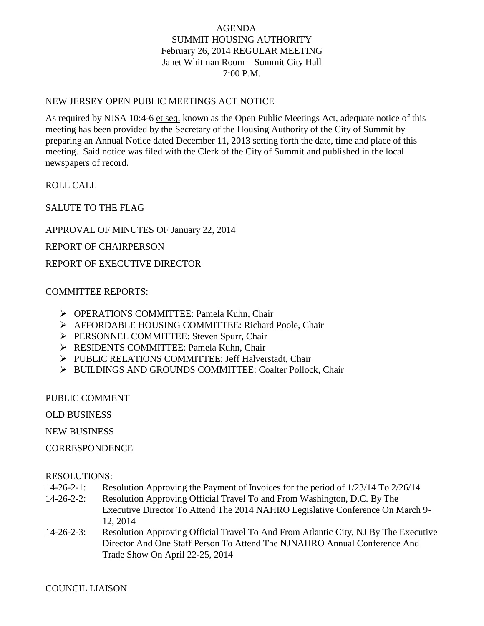# AGENDA SUMMIT HOUSING AUTHORITY February 26, 2014 REGULAR MEETING Janet Whitman Room – Summit City Hall 7:00 P.M.

## NEW JERSEY OPEN PUBLIC MEETINGS ACT NOTICE

As required by NJSA 10:4-6 et seq. known as the Open Public Meetings Act, adequate notice of this meeting has been provided by the Secretary of the Housing Authority of the City of Summit by preparing an Annual Notice dated December 11, 2013 setting forth the date, time and place of this meeting. Said notice was filed with the Clerk of the City of Summit and published in the local newspapers of record.

ROLL CALL

SALUTE TO THE FLAG

APPROVAL OF MINUTES OF January 22, 2014

REPORT OF CHAIRPERSON

REPORT OF EXECUTIVE DIRECTOR

## COMMITTEE REPORTS:

- OPERATIONS COMMITTEE: Pamela Kuhn, Chair
- AFFORDABLE HOUSING COMMITTEE: Richard Poole, Chair
- **PERSONNEL COMMITTEE: Steven Spurr, Chair**
- **EXECUTE: Pamela Kuhn, Chair** Pamela Kuhn, Chair
- PUBLIC RELATIONS COMMITTEE: Jeff Halverstadt, Chair
- > BUILDINGS AND GROUNDS COMMITTEE: Coalter Pollock, Chair

PUBLIC COMMENT

OLD BUSINESS

NEW BUSINESS

**CORRESPONDENCE** 

## RESOLUTIONS:

- 14-26-2-1: Resolution Approving the Payment of Invoices for the period of 1/23/14 To 2/26/14
- 14-26-2-2: Resolution Approving Official Travel To and From Washington, D.C. By The Executive Director To Attend The 2014 NAHRO Legislative Conference On March 9- 12, 2014
- 14-26-2-3: Resolution Approving Official Travel To And From Atlantic City, NJ By The Executive Director And One Staff Person To Attend The NJNAHRO Annual Conference And Trade Show On April 22-25, 2014

## COUNCIL LIAISON